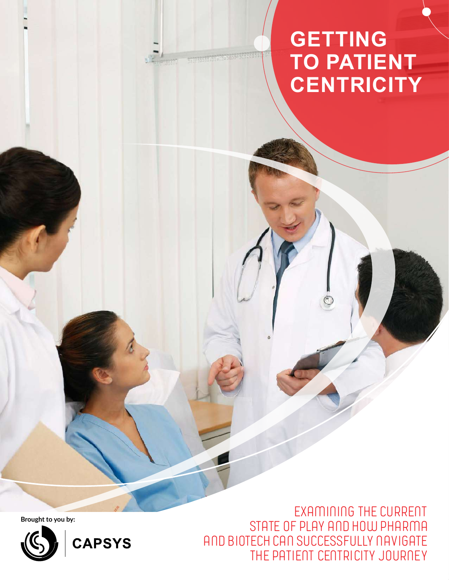# **GETTING TO PATIENT CENTRICITY**

**STREET SERVERED** 

**Brought to you by:**



CAPSYS

**Examining the current state of play and how Pharma and Biotech can successfully navigate the patient centricity journey**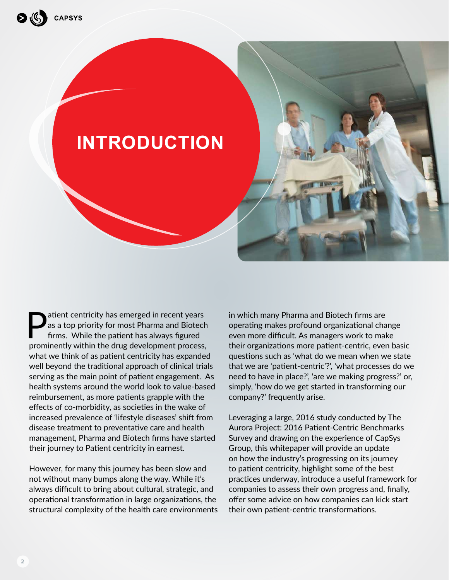

**Patient centricity has emerged in recent years<br>as a top priority for most Pharma and Biotech<br>firms. While the patient has always figured<br>prominently within the drug development presents** as a top priority for most Pharma and Biotech firms. While the patient has always figured prominently within the drug development process, what we think of as patient centricity has expanded well beyond the traditional approach of clinical trials serving as the main point of patient engagement. As health systems around the world look to value-based reimbursement, as more patients grapple with the effects of co-morbidity, as societies in the wake of increased prevalence of 'lifestyle diseases' shift from disease treatment to preventative care and health management, Pharma and Biotech firms have started their journey to Patient centricity in earnest.

However, for many this journey has been slow and not without many bumps along the way. While it's always difficult to bring about cultural, strategic, and operational transformation in large organizations, the structural complexity of the health care environments in which many Pharma and Biotech firms are operating makes profound organizational change even more difficult. As managers work to make their organizations more patient-centric, even basic questions such as 'what do we mean when we state that we are 'patient-centric'?', 'what processes do we need to have in place?', 'are we making progress?' or, simply, 'how do we get started in transforming our company?' frequently arise.

Leveraging a large, 2016 study conducted by The Aurora Project: 2016 Patient-Centric Benchmarks Survey and drawing on the experience of CapSys Group, this whitepaper will provide an update on how the industry's progressing on its journey to patient centricity, highlight some of the best practices underway, introduce a useful framework for companies to assess their own progress and, finally, offer some advice on how companies can kick start their own patient-centric transformations.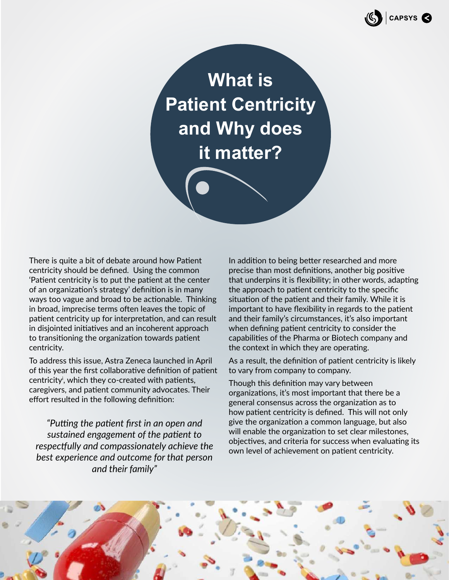

**What is Patient Centricity and Why does it matter?**

There is quite a bit of debate around how Patient centricity should be defined. Using the common 'Patient centricity is to put the patient at the center of an organization's strategy' definition is in many ways too vague and broad to be actionable. Thinking in broad, imprecise terms often leaves the topic of patient centricity up for interpretation, and can result in disjointed initiatives and an incoherent approach to transitioning the organization towards patient centricity.

To address this issue, Astra Zeneca launched in April of this year the first collaborative definition of patient centricityi , which they co-created with patients, caregivers, and patient community advocates. Their effort resulted in the following definition:

*"Putting the patient first in an open and sustained engagement of the patient to respectfully and compassionately achieve the best experience and outcome for that person and their family"*

In addition to being better researched and more precise than most definitions, another big positive that underpins it is flexibility; in other words, adapting the approach to patient centricity to the specific situation of the patient and their family. While it is important to have flexibility in regards to the patient and their family's circumstances, it's also important when defining patient centricity to consider the capabilities of the Pharma or Biotech company and the context in which they are operating.

As a result, the definition of patient centricity is likely to vary from company to company.

Though this definition may vary between organizations, it's most important that there be a general consensus across the organization as to how patient centricity is defined. This will not only give the organization a common language, but also will enable the organization to set clear milestones, objectives, and criteria for success when evaluating its own level of achievement on patient centricity.

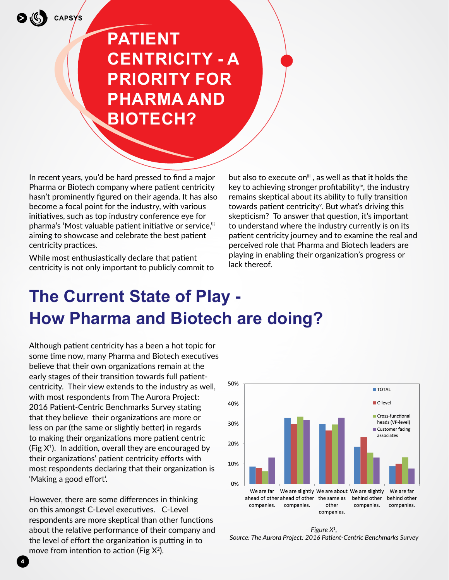$\bigotimes$  ( $\left(\xi\right)$ ) capsys

# **Patient centricity - a priority for Pharma and Biotech?**

In recent years, you'd be hard pressed to find a major Pharma or Biotech company where patient centricity hasn't prominently figured on their agenda. It has also become a focal point for the industry, with various initiatives, such as top industry conference eye for pharma's 'Most valuable patient initiative or service,'ii aiming to showcase and celebrate the best patient centricity practices.

While most enthusiastically declare that patient centricity is not only important to publicly commit to but also to execute on<sup>iii</sup>, as well as that it holds the key to achieving stronger profitabilityiv, the industry remains skeptical about its ability to fully transition towards patient centricity<sup>v</sup>. But what's driving this skepticism? To answer that question, it's important to understand where the industry currently is on its patient centricity journey and to examine the real and perceived role that Pharma and Biotech leaders are playing in enabling their organization's progress or lack thereof.

# **The Current State of Play - How Pharma and Biotech are doing?**

Although patient centricity has a been a hot topic for some time now, many Pharma and Biotech executives believe that their own organizations remain at the early stages of their transition towards full patientcentricity. Their view extends to the industry as well, with most respondents from The Aurora Project: 2016 Patient-Centric Benchmarks Survey stating that they believe their organizations are more or less on par (the same or slightly better) in regards to making their organizations more patient centric (Fig  $X^1$ ). In addition, overall they are encouraged by their organizations' patient centricity efforts with most respondents declaring that their organization is 'Making a good effort'.

However, there are some differences in thinking on this amongst C-Level executives. C-Level respondents are more skeptical than other functions about the relative performance of their company and the level of effort the organization is putting in to move from intention to action (Fig  $X^2$ ).

**4**



*Figure X1, Source: The Aurora Project: 2016 Patient-Centric Benchmarks Survey*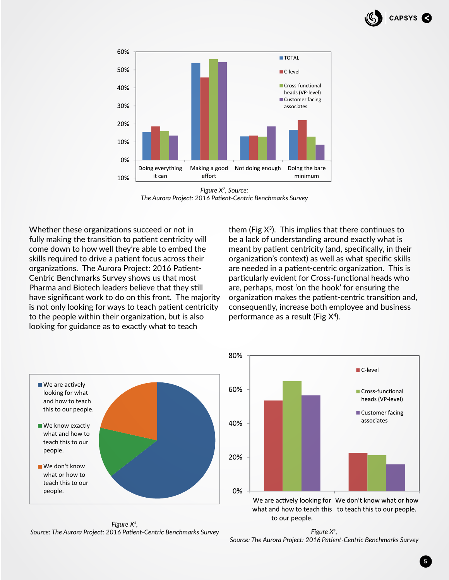



*Figure X2, Source: The Aurora Project: 2016 Patient-Centric Benchmarks Survey*

Whether these organizations succeed or not in fully making the transition to patient centricity will come down to how well they're able to embed the skills required to drive a patient focus across their organizations. The Aurora Project: 2016 Patient-Centric Benchmarks Survey shows us that most Pharma and Biotech leaders believe that they still have significant work to do on this front. The majority is not only looking for ways to teach patient centricity to the people within their organization, but is also looking for guidance as to exactly what to teach

them (Fig  $X^3$ ). This implies that there continues to be a lack of understanding around exactly what is meant by patient centricity (and, specifically, in their organization's context) as well as what specific skills are needed in a patient-centric organization. This is particularly evident for Cross-functional heads who are, perhaps, most 'on the hook' for ensuring the organization makes the patient-centric transition and, consequently, increase both employee and business performance as a result (Fig  $X^4$ ).



*Figure X3, Source: The Aurora Project: 2016 Patient-Centric Benchmarks Survey*



*Figure X4, Source: The Aurora Project: 2016 Patient-Centric Benchmarks Survey*

to our people.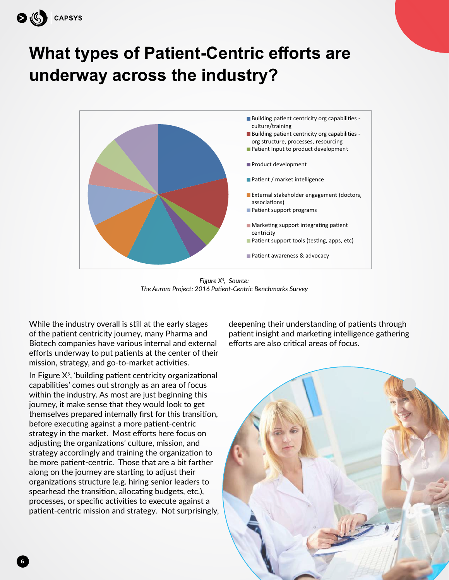

# **What types of Patient-Centric efforts are underway across the industry?**



*Figure X5, Source: The Aurora Project: 2016 Patient-Centric Benchmarks Survey*

While the industry overall is still at the early stages of the patient centricity journey, many Pharma and Biotech companies have various internal and external efforts underway to put patients at the center of their mission, strategy, and go-to-market activities.

In Figure  $X<sup>5</sup>$ , 'building patient centricity organizational capabilities' comes out strongly as an area of focus within the industry. As most are just beginning this journey, it make sense that they would look to get themselves prepared internally first for this transition, before executing against a more patient-centric strategy in the market. Most efforts here focus on adjusting the organizations' culture, mission, and strategy accordingly and training the organization to be more patient-centric. Those that are a bit farther along on the journey are starting to adjust their organizations structure (e.g. hiring senior leaders to spearhead the transition, allocating budgets, etc.), processes, or specific activities to execute against a patient-centric mission and strategy. Not surprisingly, deepening their understanding of patients through patient insight and marketing intelligence gathering efforts are also critical areas of focus.



**6**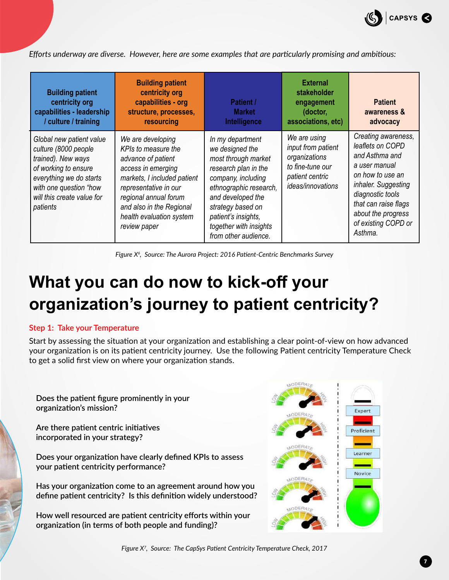

*Efforts underway are diverse. However, here are some examples that are particularly promising and ambitious:* 

| <b>Building patient</b><br>centricity org<br>capabilities - leadership<br>/ culture / training                                                                                                | <b>Building patient</b><br>centricity org<br>capabilities - org<br>structure, processes,<br>resourcing                                                                                                                                        | <b>Patient /</b><br><b>Market</b><br>Intelligence                                                                                                                                                                                                     | <b>External</b><br>stakeholder<br>engagement<br>(doctor,<br>associations, etc)                                  | <b>Patient</b><br>awareness &<br>advocacy                                                                                                                                                                                 |
|-----------------------------------------------------------------------------------------------------------------------------------------------------------------------------------------------|-----------------------------------------------------------------------------------------------------------------------------------------------------------------------------------------------------------------------------------------------|-------------------------------------------------------------------------------------------------------------------------------------------------------------------------------------------------------------------------------------------------------|-----------------------------------------------------------------------------------------------------------------|---------------------------------------------------------------------------------------------------------------------------------------------------------------------------------------------------------------------------|
| Global new patient value<br>culture (8000 people<br>trained). New ways<br>of working to ensure<br>everything we do starts<br>with one question "how<br>will this create value for<br>patients | We are developing<br>KPIs to measure the<br>advance of patient<br>access in emerging<br>markets, I included patient<br>representative in our<br>regional annual forum<br>and also in the Regional<br>health evaluation system<br>review paper | In my department<br>we designed the<br>most through market<br>research plan in the<br>company, including<br>ethnographic research,<br>and developed the<br>strategy based on<br>patient's insights,<br>together with insights<br>from other audience. | We are using<br>input from patient<br>organizations<br>to fine-tune our<br>patient centric<br>ideas/innovations | Creating awareness,<br>leaflets on COPD<br>and Asthma and<br>a user manual<br>on how to use an<br>inhaler. Suggesting<br>diagnostic tools<br>that can raise flags<br>about the progress<br>of existing COPD or<br>Asthma. |

Figure X<sup>6</sup>, Source: The Aurora Project: 2016 Patient-Centric Benchmarks Survey

# **What you can do now to kick-off your organization's journey to patient centricity?**

#### **Step 1: Take your Temperature**

Start by assessing the situation at your organization and establishing a clear point-of-view on how advanced your organization is on its patient centricity journey. Use the following Patient centricity Temperature Check to get a solid first view on where your organization stands.

**Does the patient figure prominently in your organization's mission?**

**Are there patient centric initiatives incorporated in your strategy?**

**Does your organization have clearly defined KPIs to assess your patient centricity performance?**

**Has your organization come to an agreement around how you define patient centricity? Is this definition widely understood?**

**How well resourced are patient centricity efforts within your organization (in terms of both people and funding)?**



**7**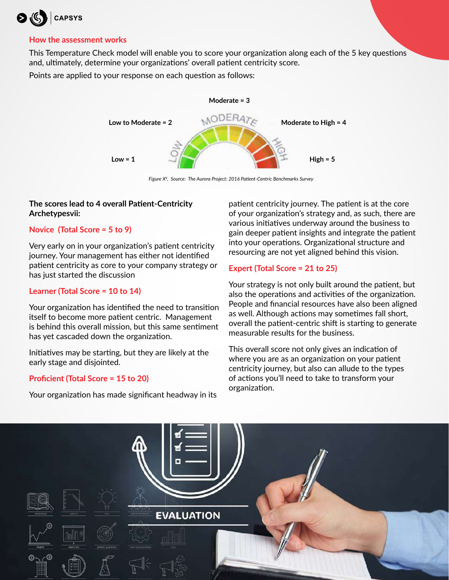

#### **How the assessment works**

This Temperature Check model will enable you to score your organization along each of the 5 key questions and, ultimately, determine your organizations' overall patient centricity score.

Points are applied to your response on each question as follows:



*Figure X8, Source: The Aurora Project: 2016 Patient-Centric Benchmarks Survey*

### **The scores lead to 4 overall Patient-Centricity Archetypesvii:**

### **Novice (Total Score = 5 to 9)**

Very early on in your organization's patient centricity journey. Your management has either not identified patient centricity as core to your company strategy or has just started the discussion

### **Learner (Total Score = 10 to 14)**

Your organization has identified the need to transition itself to become more patient centric. Management is behind this overall mission, but this same sentiment has yet cascaded down the organization.

Initiatives may be starting, but they are likely at the early stage and disjointed.

### **Proficient (Total Score = 15 to 20)**

Your organization has made significant headway in its

patient centricity journey. The patient is at the core of your organization's strategy and, as such, there are various initiatives underway around the business to gain deeper patient insights and integrate the patient into your operations. Organizational structure and resourcing are not yet aligned behind this vision.

## **Expert (Total Score = 21 to 25)**

Your strategy is not only built around the patient, but also the operations and activities of the organization. People and financial resources have also been aligned as well. Although actions may sometimes fall short, overall the patient-centric shift is starting to generate measurable results for the business.

This overall score not only gives an indication of where you are as an organization on your patient centricity journey, but also can allude to the types of actions you'll need to take to transform your organization.

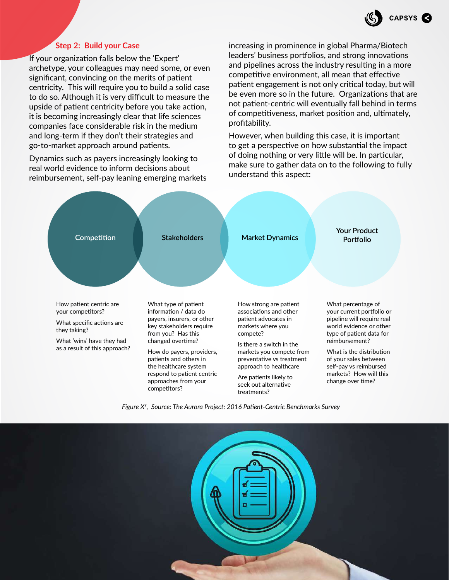

#### **Step 2: Build your Case**

If your organization falls below the 'Expert' archetype, your colleagues may need some, or even significant, convincing on the merits of patient centricity. This will require you to build a solid case to do so. Although it is very difficult to measure the upside of patient centricity before you take action, it is becoming increasingly clear that life sciences companies face considerable risk in the medium and long-term if they don't their strategies and go-to-market approach around patients.

Dynamics such as payers increasingly looking to real world evidence to inform decisions about reimbursement, self-pay leaning emerging markets increasing in prominence in global Pharma/Biotech leaders' business portfolios, and strong innovations and pipelines across the industry resulting in a more competitive environment, all mean that effective patient engagement is not only critical today, but will be even more so in the future. Organizations that are not patient-centric will eventually fall behind in terms of competitiveness, market position and, ultimately, profitability.

However, when building this case, it is important to get a perspective on how substantial the impact of doing nothing or very little will be. In particular, make sure to gather data on to the following to fully understand this aspect:



*Figure X9, Source: The Aurora Project: 2016 Patient-Centric Benchmarks Survey*

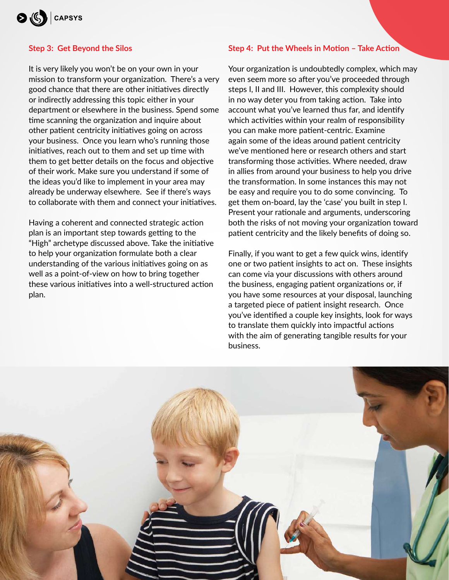

#### **Step 3: Get Beyond the Silos**

It is very likely you won't be on your own in your mission to transform your organization. There's a very good chance that there are other initiatives directly or indirectly addressing this topic either in your department or elsewhere in the business. Spend some time scanning the organization and inquire about other patient centricity initiatives going on across your business. Once you learn who's running those initiatives, reach out to them and set up time with them to get better details on the focus and objective of their work. Make sure you understand if some of the ideas you'd like to implement in your area may already be underway elsewhere. See if there's ways to collaborate with them and connect your initiatives.

Having a coherent and connected strategic action plan is an important step towards getting to the "High" archetype discussed above. Take the initiative to help your organization formulate both a clear understanding of the various initiatives going on as well as a point-of-view on how to bring together these various initiatives into a well-structured action plan.

#### **Step 4: Put the Wheels in Motion – Take Action**

Your organization is undoubtedly complex, which may even seem more so after you've proceeded through steps I, II and III. However, this complexity should in no way deter you from taking action. Take into account what you've learned thus far, and identify which activities within your realm of responsibility you can make more patient-centric. Examine again some of the ideas around patient centricity we've mentioned here or research others and start transforming those activities. Where needed, draw in allies from around your business to help you drive the transformation. In some instances this may not be easy and require you to do some convincing. To get them on-board, lay the 'case' you built in step I. Present your rationale and arguments, underscoring both the risks of not moving your organization toward patient centricity and the likely benefits of doing so.

Finally, if you want to get a few quick wins, identify one or two patient insights to act on. These insights can come via your discussions with others around the business, engaging patient organizations or, if you have some resources at your disposal, launching a targeted piece of patient insight research. Once you've identified a couple key insights, look for ways to translate them quickly into impactful actions with the aim of generating tangible results for your business.

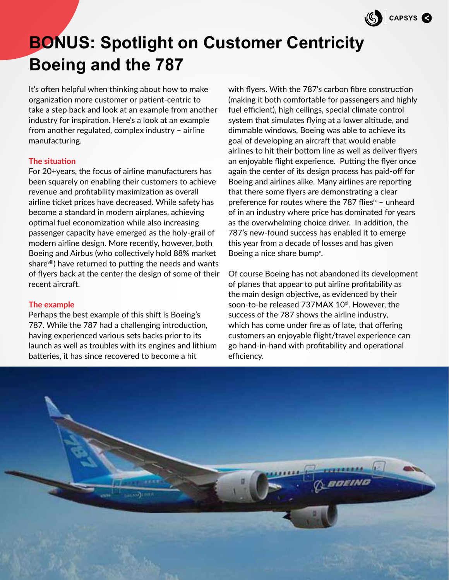

# **BONUS: Spotlight on Customer Centricity Boeing and the 787**

It's often helpful when thinking about how to make organization more customer or patient-centric to take a step back and look at an example from another industry for inspiration. Here's a look at an example from another regulated, complex industry – airline manufacturing.

### **The situation**

For 20+years, the focus of airline manufacturers has been squarely on enabling their customers to achieve revenue and profitability maximization as overall airline ticket prices have decreased. While safety has become a standard in modern airplanes, achieving optimal fuel economization while also increasing passenger capacity have emerged as the holy-grail of modern airline design. More recently, however, both Boeing and Airbus (who collectively hold 88% market share<sup>viii</sup>) have returned to putting the needs and wants of flyers back at the center the design of some of their recent aircraft.

#### **The example**

Perhaps the best example of this shift is Boeing's 787. While the 787 had a challenging introduction, having experienced various sets backs prior to its launch as well as troubles with its engines and lithium batteries, it has since recovered to become a hit

with flyers. With the 787's carbon fibre construction (making it both comfortable for passengers and highly fuel efficient), high ceilings, special climate control system that simulates flying at a lower altitude, and dimmable windows, Boeing was able to achieve its goal of developing an aircraft that would enable airlines to hit their bottom line as well as deliver flyers an enjoyable flight experience. Putting the flyer once again the center of its design process has paid-off for Boeing and airlines alike. Many airlines are reporting that there some flyers are demonstrating a clear preference for routes where the 787 flies $\dot{z}$  – unheard of in an industry where price has dominated for years as the overwhelming choice driver. In addition, the 787's new-found success has enabled it to emerge this year from a decade of losses and has given Boeing a nice share bump<sup>x</sup>.

Of course Boeing has not abandoned its development of planes that appear to put airline profitability as the main design objective, as evidenced by their soon-to-be released 737MAX 10<sup>xi</sup>. However, the success of the 787 shows the airline industry, which has come under fire as of late, that offering customers an enjoyable flight/travel experience can go hand-in-hand with profitability and operational efficiency.

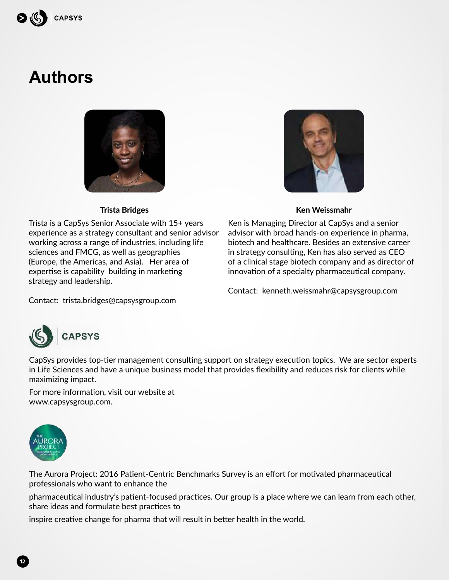

# **Authors**



## **Trista Bridges**

Trista is a CapSys Senior Associate with 15+ years experience as a strategy consultant and senior advisor working across a range of industries, including life sciences and FMCG, as well as geographies (Europe, the Americas, and Asia). Her area of expertise is capability building in marketing strategy and leadership.



### **Ken Weissmahr**

Ken is Managing Director at CapSys and a senior advisor with broad hands-on experience in pharma, biotech and healthcare. Besides an extensive career in strategy consulting, Ken has also served as CEO of a clinical stage biotech company and as director of innovation of a specialty pharmaceutical company.

Contact: kenneth.weissmahr@capsysgroup.com

Contact: trista.bridges@capsysgroup.com



CapSys provides top-tier management consulting support on strategy execution topics. We are sector experts in Life Sciences and have a unique business model that provides flexibility and reduces risk for clients while maximizing impact.

For more information, visit our website at www.capsysgroup.com.



**12**

The Aurora Project: 2016 Patient-Centric Benchmarks Survey is an effort for motivated pharmaceutical professionals who want to enhance the

pharmaceutical industry's patient-focused practices. Our group is a place where we can learn from each other, share ideas and formulate best practices to

inspire creative change for pharma that will result in better health in the world.